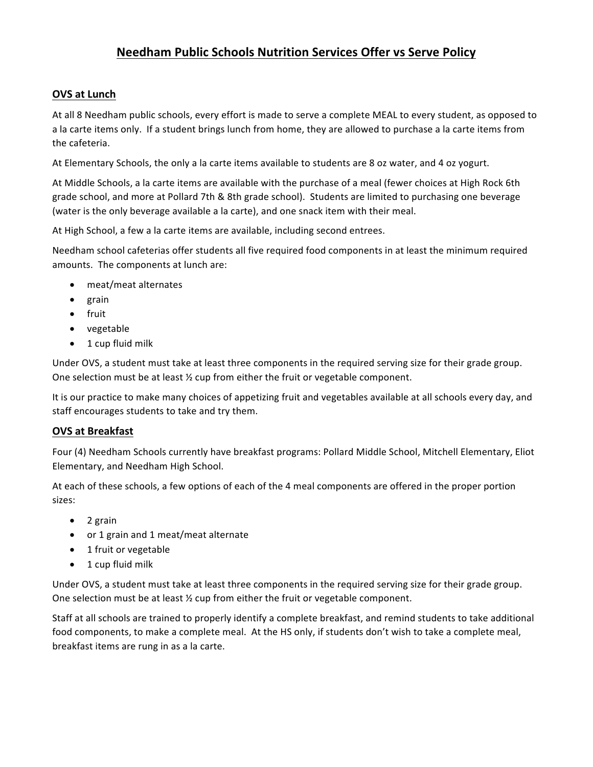## **Needham Public Schools Nutrition Services Offer vs Serve Policy**

## **OVS at Lunch**

At all 8 Needham public schools, every effort is made to serve a complete MEAL to every student, as opposed to a la carte items only. If a student brings lunch from home, they are allowed to purchase a la carte items from the cafeteria.

At Elementary Schools, the only a la carte items available to students are 8 oz water, and 4 oz yogurt.

At Middle Schools, a la carte items are available with the purchase of a meal (fewer choices at High Rock 6th grade school, and more at Pollard 7th & 8th grade school). Students are limited to purchasing one beverage (water is the only beverage available a la carte), and one snack item with their meal.

At High School, a few a la carte items are available, including second entrees.

Needham school cafeterias offer students all five required food components in at least the minimum required amounts. The components at lunch are:

- meat/meat alternates
- grain
- fruit
- vegetable
- $\bullet$  1 cup fluid milk

Under OVS, a student must take at least three components in the required serving size for their grade group. One selection must be at least  $\frac{1}{2}$  cup from either the fruit or vegetable component.

It is our practice to make many choices of appetizing fruit and vegetables available at all schools every day, and staff encourages students to take and try them.

## **OVS at Breakfast**

Four (4) Needham Schools currently have breakfast programs: Pollard Middle School, Mitchell Elementary, Eliot Elementary, and Needham High School.

At each of these schools, a few options of each of the 4 meal components are offered in the proper portion sizes:

- $\bullet$  2 grain
- or 1 grain and 1 meat/meat alternate
- 1 fruit or vegetable
- $\bullet$  1 cup fluid milk

Under OVS, a student must take at least three components in the required serving size for their grade group. One selection must be at least  $\frac{1}{2}$  cup from either the fruit or vegetable component.

Staff at all schools are trained to properly identify a complete breakfast, and remind students to take additional food components, to make a complete meal. At the HS only, if students don't wish to take a complete meal, breakfast items are rung in as a la carte.